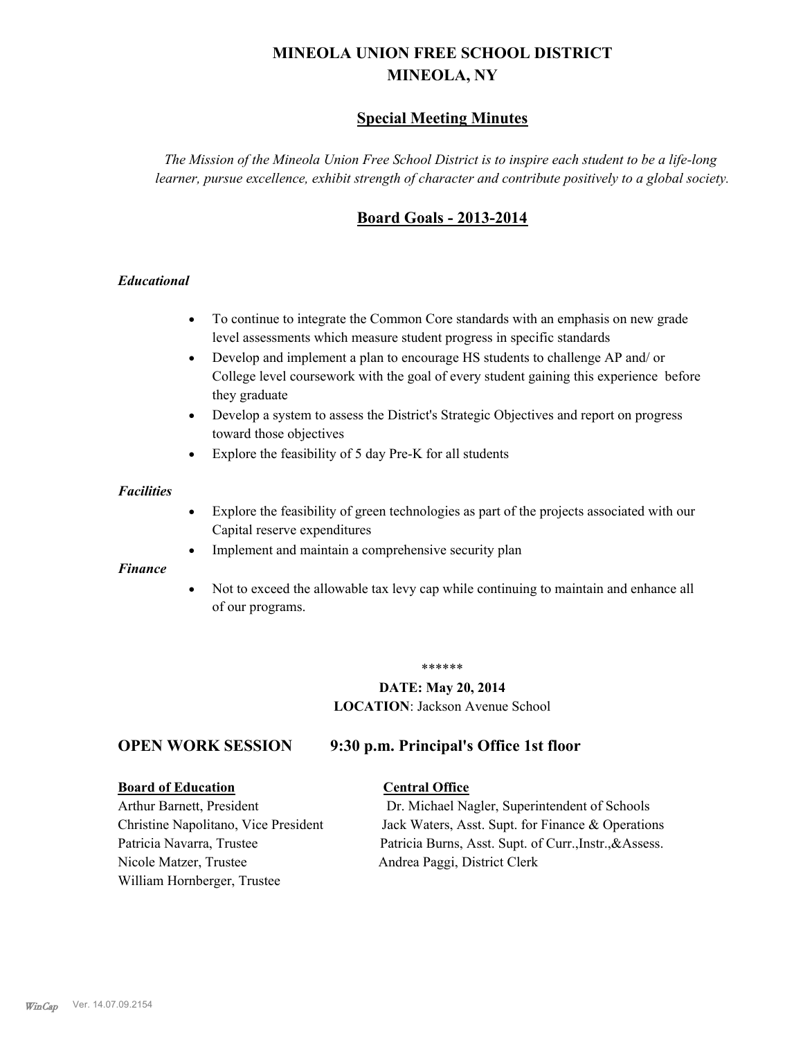# **MINEOLA UNION FREE SCHOOL DISTRICT MINEOLA, NY**

# **Special Meeting Minutes**

*The Mission of the Mineola Union Free School District is to inspire each student to be a life-long learner, pursue excellence, exhibit strength of character and contribute positively to a global society.*

# **Board Goals - 2013-2014**

### *Educational*

- · To continue to integrate the Common Core standards with an emphasis on new grade level assessments which measure student progress in specific standards
- · Develop and implement a plan to encourage HS students to challenge AP and/ or College level coursework with the goal of every student gaining this experience before they graduate
- Develop a system to assess the District's Strategic Objectives and report on progress toward those objectives
- · Explore the feasibility of 5 day Pre-K for all students

#### *Facilities*

- · Explore the feasibility of green technologies as part of the projects associated with our Capital reserve expenditures
- Implement and maintain a comprehensive security plan

#### *Finance*

• Not to exceed the allowable tax levy cap while continuing to maintain and enhance all of our programs.

#### \*\*\*\*\*\*

# **DATE: May 20, 2014**

**LOCATION**: Jackson Avenue School

# **OPEN WORK SESSION 9:30 p.m. Principal's Office 1st floor**

## **Board of Education Central Office**

Nicole Matzer, Trustee Andrea Paggi, District Clerk William Hornberger, Trustee

Arthur Barnett, President Dr. Michael Nagler, Superintendent of Schools Christine Napolitano, Vice President Jack Waters, Asst. Supt. for Finance & Operations Patricia Navarra, Trustee Patricia Burns, Asst. Supt. of Curr., Instr., &Assess.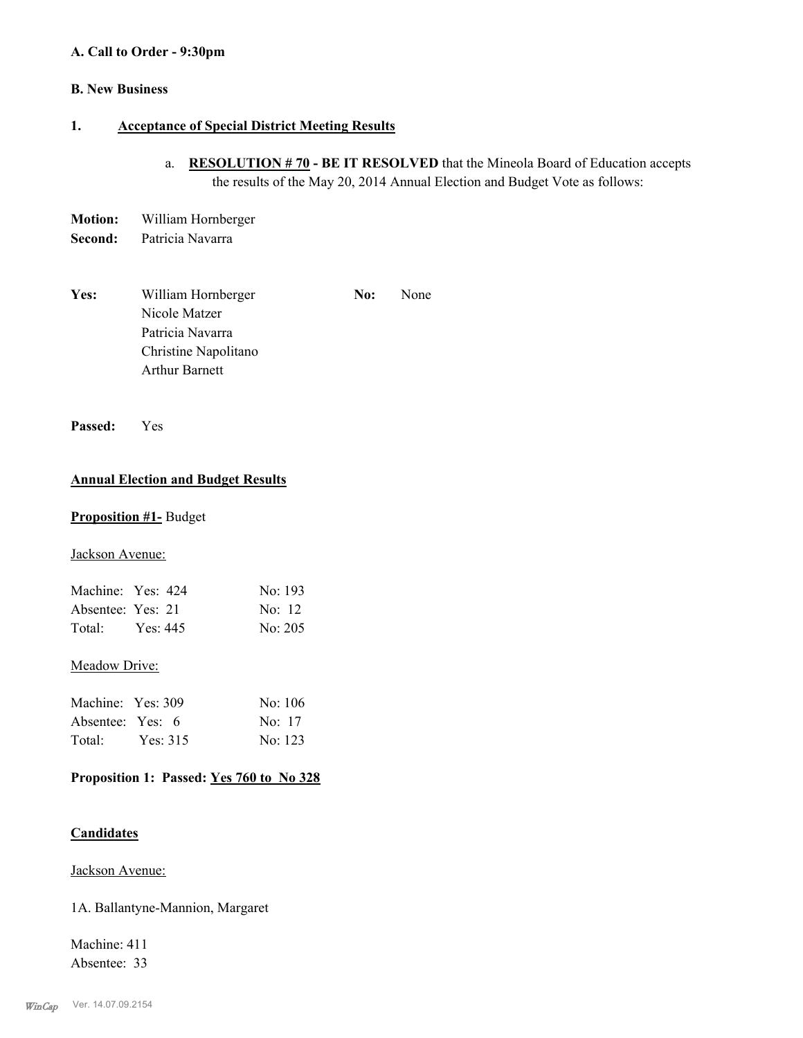#### **A. Call to Order - 9:30pm**

# **B. New Business**

### **1. Acceptance of Special District Meeting Results**

- a. **RESOLUTION # 70 BE IT RESOLVED** that the Mineola Board of Education accepts the results of the May 20, 2014 Annual Election and Budget Vote as follows:
- **Motion:** William Hornberger **Second:** Patricia Navarra
- Yes: William Hornberger **No:** None Nicole Matzer Patricia Navarra Christine Napolitano Arthur Barnett

**Passed:** Yes

### **Annual Election and Budget Results**

#### **Proposition #1-** Budget

Jackson Avenue:

| Machine: Yes: 424 |          | No: 193  |
|-------------------|----------|----------|
| Absentee: Yes: 21 |          | No: $12$ |
| Total:            | Yes: 445 | No: 205  |

#### Meadow Drive:

| Machine: Yes: 309 |            | No: $106$ |
|-------------------|------------|-----------|
| Absentee: Yes: 6  |            | No: 17    |
| Total:            | Yes: $315$ | No: 123   |

# **Proposition 1: Passed: Yes 760 to No 328**

#### **Candidates**

Jackson Avenue:

1A. Ballantyne-Mannion, Margaret

Machine: 411 Absentee: 33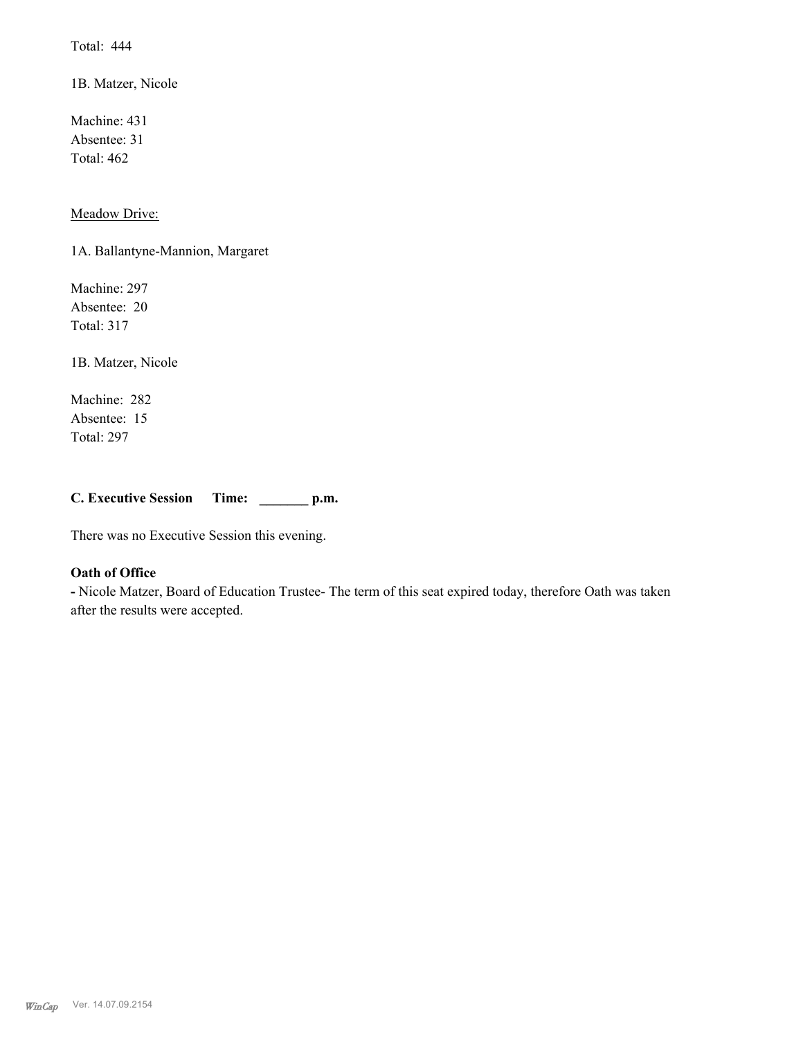Total: 444

1B. Matzer, Nicole

Machine: 431 Absentee: 31 Total: 462

Meadow Drive:

1A. Ballantyne-Mannion, Margaret

Machine: 297 Absentee: 20 Total: 317

1B. Matzer, Nicole

Machine: 282 Absentee: 15 Total: 297

**C. Executive Session Time: \_\_\_\_\_\_\_ p.m.**

There was no Executive Session this evening.

### **Oath of Office**

**-** Nicole Matzer, Board of Education Trustee- The term of this seat expired today, therefore Oath was taken after the results were accepted.